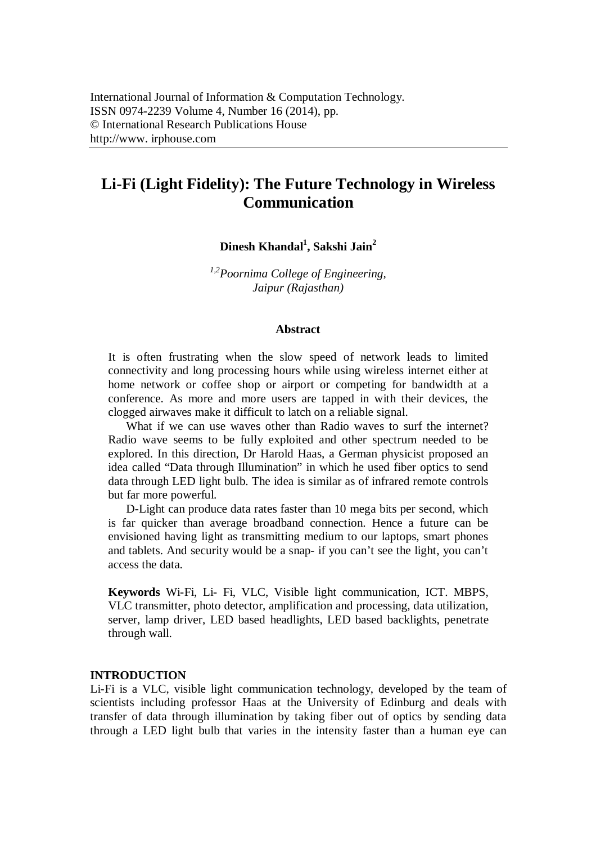# **Li-Fi (Light Fidelity): The Future Technology in Wireless Communication**

**Dinesh Khandal<sup>1</sup> , Sakshi Jain<sup>2</sup>**

*1,2Poornima College of Engineering, Jaipur (Rajasthan)*

#### **Abstract**

It is often frustrating when the slow speed of network leads to limited connectivity and long processing hours while using wireless internet either at home network or coffee shop or airport or competing for bandwidth at a conference. As more and more users are tapped in with their devices, the clogged airwaves make it difficult to latch on a reliable signal.

What if we can use waves other than Radio waves to surf the internet? Radio wave seems to be fully exploited and other spectrum needed to be explored. In this direction, Dr Harold Haas, a German physicist proposed an idea called "Data through Illumination" in which he used fiber optics to send data through LED light bulb. The idea is similar as of infrared remote controls but far more powerful.

D-Light can produce data rates faster than 10 mega bits per second, which is far quicker than average broadband connection. Hence a future can be envisioned having light as transmitting medium to our laptops, smart phones and tablets. And security would be a snap- if you can't see the light, you can't access the data.

**Keywords** Wi-Fi, Li- Fi, VLC, Visible light communication, ICT. MBPS, VLC transmitter, photo detector, amplification and processing, data utilization, server, lamp driver, LED based headlights, LED based backlights, penetrate through wall.

#### **INTRODUCTION**

Li-Fi is a VLC, visible light communication technology, developed by the team of scientists including professor Haas at the University of Edinburg and deals with transfer of data through illumination by taking fiber out of optics by sending data through a LED light bulb that varies in the intensity faster than a human eye can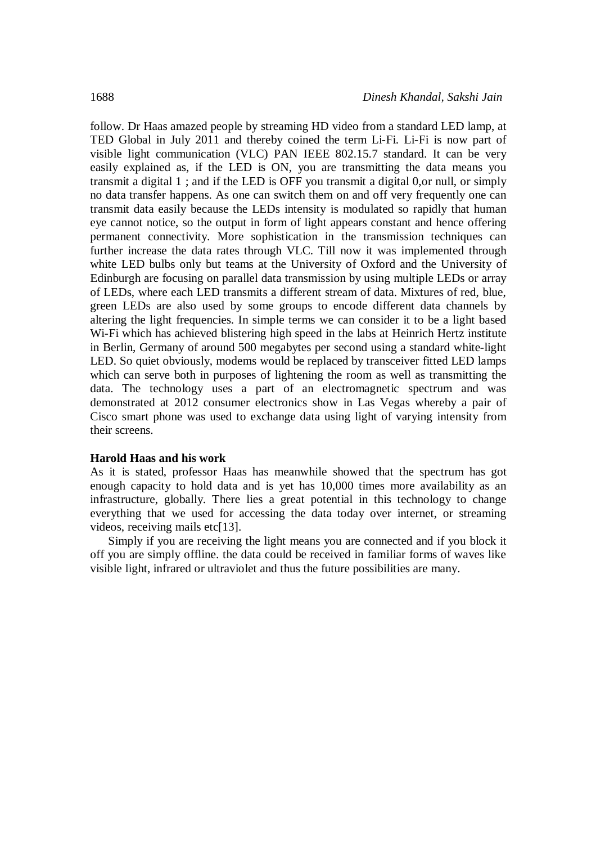follow. Dr Haas amazed people by streaming HD video from a standard LED lamp, at TED Global in July 2011 and thereby coined the term Li-Fi. Li-Fi is now part of visible light communication (VLC) PAN IEEE 802.15.7 standard. It can be very easily explained as, if the LED is ON, you are transmitting the data means you transmit a digital 1 ; and if the LED is OFF you transmit a digital 0,or null, or simply no data transfer happens. As one can switch them on and off very frequently one can transmit data easily because the LEDs intensity is modulated so rapidly that human eye cannot notice, so the output in form of light appears constant and hence offering permanent connectivity. More sophistication in the transmission techniques can further increase the data rates through VLC. Till now it was implemented through white LED bulbs only but teams at the University of Oxford and the University of Edinburgh are focusing on parallel data transmission by using multiple LEDs or array of LEDs, where each LED transmits a different stream of data. Mixtures of red, blue, green LEDs are also used by some groups to encode different data channels by altering the light frequencies. In simple terms we can consider it to be a light based Wi-Fi which has achieved blistering high speed in the labs at Heinrich Hertz institute in Berlin, Germany of around 500 megabytes per second using a standard white-light LED. So quiet obviously, modems would be replaced by transceiver fitted LED lamps which can serve both in purposes of lightening the room as well as transmitting the data. The technology uses a part of an electromagnetic spectrum and was demonstrated at 2012 consumer electronics show in Las Vegas whereby a pair of Cisco smart phone was used to exchange data using light of varying intensity from their screens.

#### **Harold Haas and his work**

As it is stated, professor Haas has meanwhile showed that the spectrum has got enough capacity to hold data and is yet has 10,000 times more availability as an infrastructure, globally. There lies a great potential in this technology to change everything that we used for accessing the data today over internet, or streaming videos, receiving mails etc[13].

Simply if you are receiving the light means you are connected and if you block it off you are simply offline. the data could be received in familiar forms of waves like visible light, infrared or ultraviolet and thus the future possibilities are many.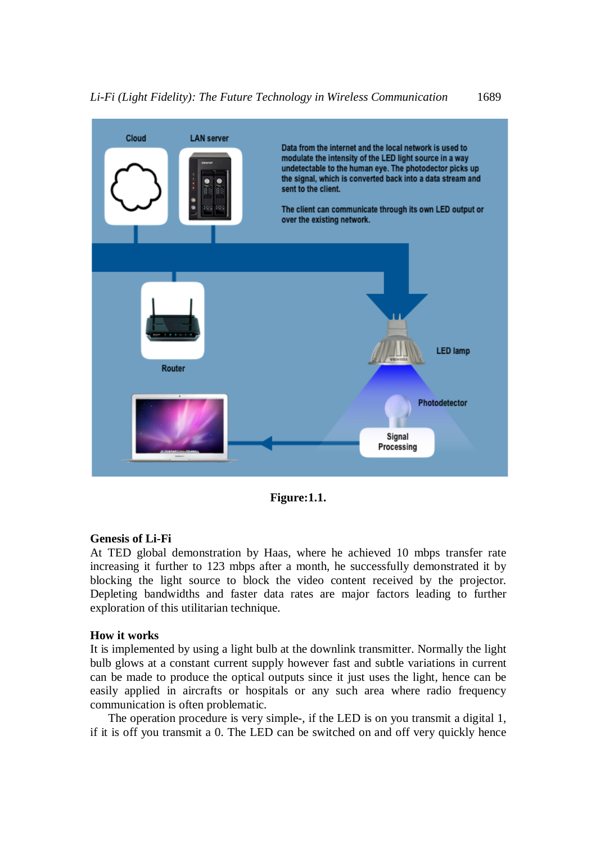

**Figure:1.1.**

## **Genesis of Li-Fi**

At TED global demonstration by Haas, where he achieved 10 mbps transfer rate increasing it further to 123 mbps after a month, he successfully demonstrated it by blocking the light source to block the video content received by the projector. Depleting bandwidths and faster data rates are major factors leading to further exploration of this utilitarian technique.

#### **How it works**

It is implemented by using a light bulb at the downlink transmitter. Normally the light bulb glows at a constant current supply however fast and subtle variations in current can be made to produce the optical outputs since it just uses the light, hence can be easily applied in aircrafts or hospitals or any such area where radio frequency communication is often problematic.

The operation procedure is very simple-, if the LED is on you transmit a digital 1, if it is off you transmit a 0. The LED can be switched on and off very quickly hence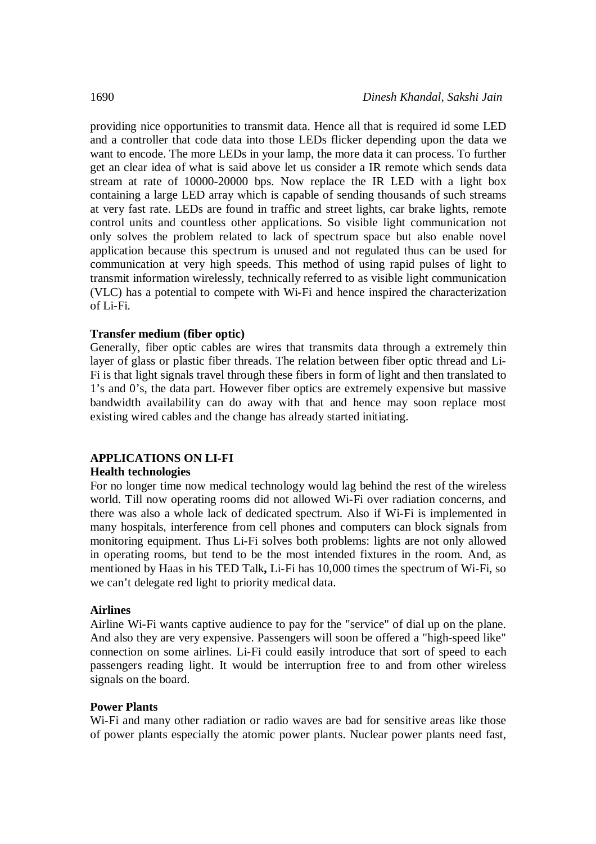providing nice opportunities to transmit data. Hence all that is required id some LED and a controller that code data into those LEDs flicker depending upon the data we want to encode. The more LEDs in your lamp, the more data it can process. To further get an clear idea of what is said above let us consider a IR remote which sends data stream at rate of 10000-20000 bps. Now replace the IR LED with a light box containing a large LED array which is capable of sending thousands of such streams at very fast rate. LEDs are found in traffic and street lights, car brake lights, remote control units and countless other applications. So visible light communication not only solves the problem related to lack of spectrum space but also enable novel application because this spectrum is unused and not regulated thus can be used for communication at very high speeds. This method of using rapid pulses of light to transmit information wirelessly, technically referred to as visible light communication (VLC) has a potential to compete with Wi-Fi and hence inspired the characterization of Li-Fi.

## **Transfer medium (fiber optic)**

Generally, fiber optic cables are wires that transmits data through a extremely thin layer of glass or plastic fiber threads. The relation between fiber optic thread and Li-Fi is that light signals travel through these fibers in form of light and then translated to 1's and 0's, the data part. However fiber optics are extremely expensive but massive bandwidth availability can do away with that and hence may soon replace most existing wired cables and the change has already started initiating.

## **APPLICATIONS ON LI-FI**

## **Health technologies**

For no longer time now medical technology would lag behind the rest of the wireless world. Till now operating rooms did not allowed Wi-Fi over radiation concerns, and there was also a whole lack of dedicated spectrum. Also if Wi-Fi is implemented in many hospitals, interference from cell phones and computers can block signals from monitoring equipment. Thus Li-Fi solves both problems: lights are not only allowed in operating rooms, but tend to be the most intended fixtures in the room. And, as mentioned by Haas in his TED Talk**,** Li-Fi has 10,000 times the spectrum of Wi-Fi, so we can't delegate red light to priority medical data.

## **Airlines**

Airline Wi-Fi wants captive audience to pay for the "service" of dial up on the plane. And also they are very expensive. Passengers will soon be offered a "high-speed like" connection on some airlines. Li-Fi could easily introduce that sort of speed to each passengers reading light. It would be interruption free to and from other wireless signals on the board.

## **Power Plants**

Wi-Fi and many other radiation or radio waves are bad for sensitive areas like those of power plants especially the atomic power plants. Nuclear power plants need fast,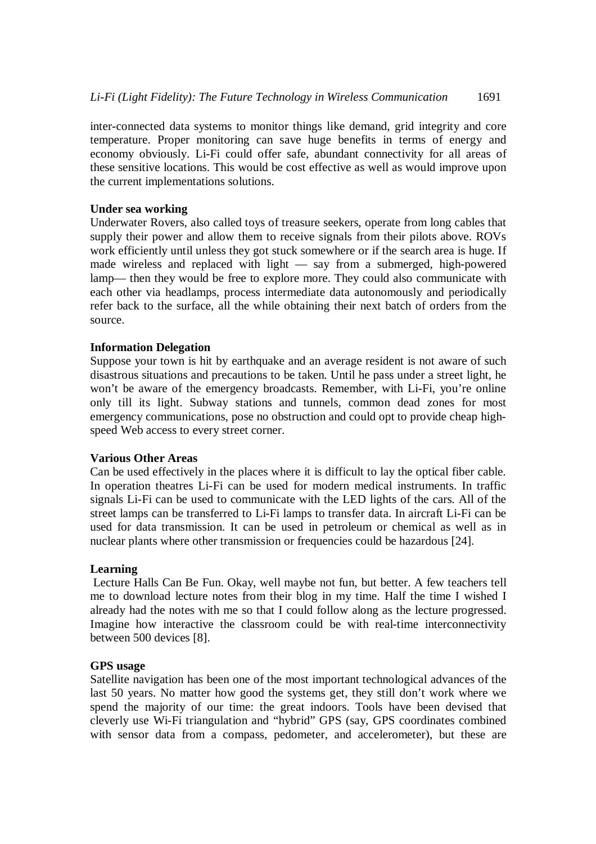inter-connected data systems to monitor things like demand, grid integrity and core temperature. Proper monitoring can save huge benefits in terms of energy and economy obviously. Li-Fi could offer safe, abundant connectivity for all areas of these sensitive locations. This would be cost effective as well as would improve upon the current implementations solutions.

## **Under sea working**

Underwater Rovers, also called toys of treasure seekers, operate from long cables that supply their power and allow them to receive signals from their pilots above. ROVs work efficiently until unless they got stuck somewhere or if the search area is huge. If made wireless and replaced with light — say from a submerged, high-powered lamp— then they would be free to explore more. They could also communicate with each other via headlamps, process intermediate data autonomously and periodically refer back to the surface, all the while obtaining their next batch of orders from the source.

## **Information Delegation**

Suppose your town is hit by earthquake and an average resident is not aware of such disastrous situations and precautions to be taken. Until he pass under a street light, he won't be aware of the emergency broadcasts. Remember, with Li-Fi, you're online only till its light. Subway stations and tunnels, common dead zones for most emergency communications, pose no obstruction and could opt to provide cheap highspeed Web access to every street corner.

## **Various Other Areas**

Can be used effectively in the places where it is difficult to lay the optical fiber cable. In operation theatres Li-Fi can be used for modern medical instruments. In traffic signals Li-Fi can be used to communicate with the LED lights of the cars. All of the street lamps can be transferred to Li-Fi lamps to transfer data. In aircraft Li-Fi can be used for data transmission. It can be used in petroleum or chemical as well as in nuclear plants where other transmission or frequencies could be hazardous [24].

## **Learning**

Lecture Halls Can Be Fun. Okay, well maybe not fun, but better. A few teachers tell me to download lecture notes from their blog in my time. Half the time I wished I already had the notes with me so that I could follow along as the lecture progressed. Imagine how interactive the classroom could be with real-time interconnectivity between 500 devices [8].

## **GPS usage**

Satellite navigation has been one of the most important technological advances of the last 50 years. No matter how good the systems get, they still don't work where we spend the majority of our time: the great indoors. Tools have been devised that cleverly use Wi-Fi triangulation and "hybrid" GPS (say, GPS coordinates combined with sensor data from a compass, pedometer, and accelerometer), but these are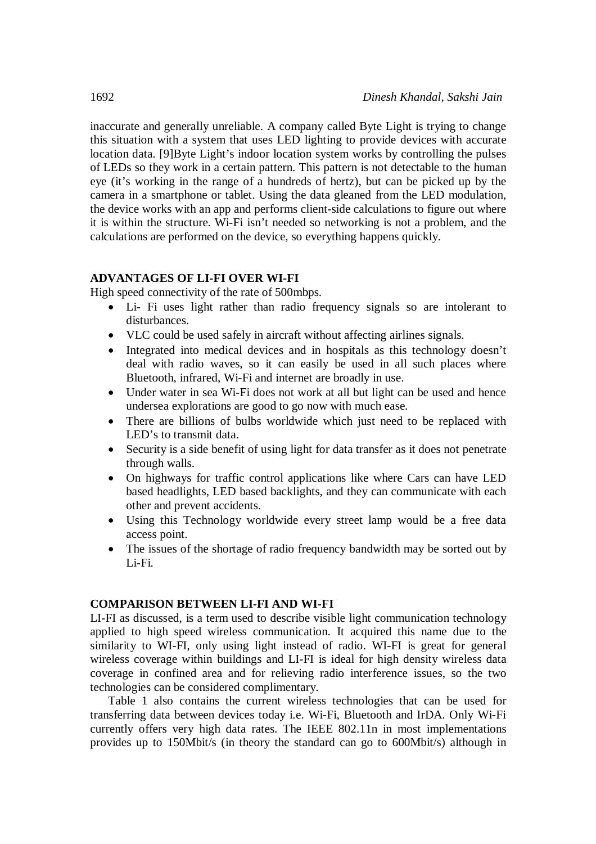inaccurate and generally unreliable. A company called Byte Light is trying to change this situation with a system that uses LED lighting to provide devices with accurate location data. [9]Byte Light's indoor location system works by controlling the pulses of LEDs so they work in a certain pattern. This pattern is not detectable to the human eye (it's working in the range of a hundreds of hertz), but can be picked up by the camera in a smartphone or tablet. Using the data gleaned from the LED modulation, the device works with an app and performs client-side calculations to figure out where it is within the structure. Wi-Fi isn't needed so networking is not a problem, and the calculations are performed on the device, so everything happens quickly.

## **ADVANTAGES OF LI-FI OVER WI-FI**

High speed connectivity of the rate of 500mbps.

- Li- Fi uses light rather than radio frequency signals so are intolerant to disturbances.
- VLC could be used safely in aircraft without affecting airlines signals.
- Integrated into medical devices and in hospitals as this technology doesn't deal with radio waves, so it can easily be used in all such places where Bluetooth, infrared, Wi-Fi and internet are broadly in use.
- Under water in sea Wi-Fi does not work at all but light can be used and hence undersea explorations are good to go now with much ease.
- There are billions of bulbs worldwide which just need to be replaced with LED's to transmit data.
- Security is a side benefit of using light for data transfer as it does not penetrate through walls.
- On highways for traffic control applications like where Cars can have LED based headlights, LED based backlights, and they can communicate with each other and prevent accidents.
- Using this Technology worldwide every street lamp would be a free data access point.
- The issues of the shortage of radio frequency bandwidth may be sorted out by Li-Fi.

## **COMPARISON BETWEEN LI-FI AND WI-FI**

LI-FI as discussed, is a term used to describe visible light communication technology applied to high speed wireless communication. It acquired this name due to the similarity to WI-FI, only using light instead of radio. WI-FI is great for general wireless coverage within buildings and LI-FI is ideal for high density wireless data coverage in confined area and for relieving radio interference issues, so the two technologies can be considered complimentary.

Table 1 also contains the current wireless technologies that can be used for transferring data between devices today i.e. Wi-Fi, Bluetooth and IrDA. Only Wi-Fi currently offers very high data rates. The IEEE 802.11n in most implementations provides up to 150Mbit/s (in theory the standard can go to 600Mbit/s) although in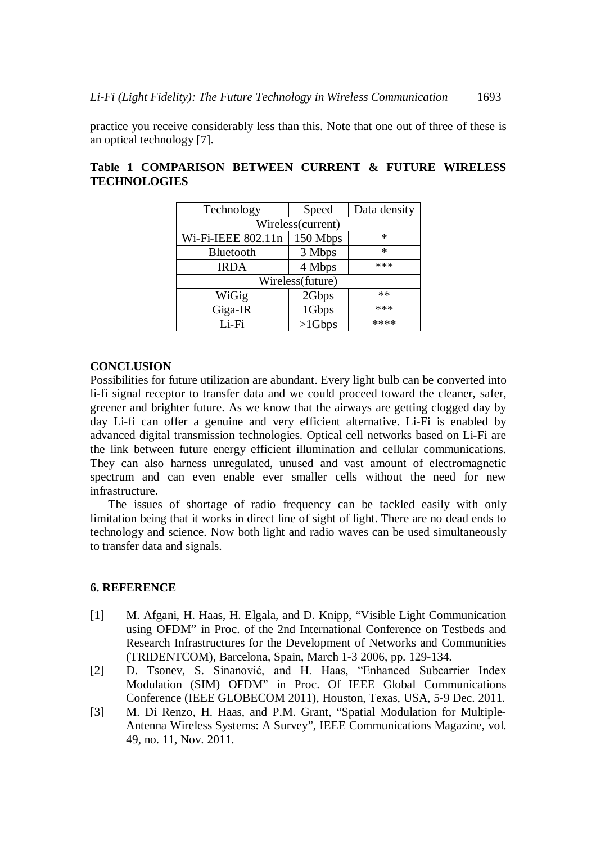practice you receive considerably less than this. Note that one out of three of these is an optical technology [7].

| Technology         | Speed     | Data density |
|--------------------|-----------|--------------|
| Wireless(current)  |           |              |
| Wi-Fi-IEEE 802.11n | 150 Mbps  | *            |
| Bluetooth          | 3 Mbps    | *            |
| <b>IRDA</b>        | 4 Mbps    | ***          |
| Wireless(future)   |           |              |
| WiGig              | 2Gbps     | $**$         |
| Giga-IR            | 1Gbps     | ***          |
| Li-Fi              | $>1$ Gbps | ****         |

## **Table 1 COMPARISON BETWEEN CURRENT & FUTURE WIRELESS TECHNOLOGIES**

## **CONCLUSION**

Possibilities for future utilization are abundant. Every light bulb can be converted into li-fi signal receptor to transfer data and we could proceed toward the cleaner, safer, greener and brighter future. As we know that the airways are getting clogged day by day Li-fi can offer a genuine and very efficient alternative. Li-Fi is enabled by advanced digital transmission technologies. Optical cell networks based on Li-Fi are the link between future energy efficient illumination and cellular communications. They can also harness unregulated, unused and vast amount of electromagnetic spectrum and can even enable ever smaller cells without the need for new infrastructure.

The issues of shortage of radio frequency can be tackled easily with only limitation being that it works in direct line of sight of light. There are no dead ends to technology and science. Now both light and radio waves can be used simultaneously to transfer data and signals.

## **6. REFERENCE**

- [1] M. Afgani, H. Haas, H. Elgala, and D. Knipp, "Visible Light Communication using OFDM" in Proc. of the 2nd International Conference on Testbeds and Research Infrastructures for the Development of Networks and Communities (TRIDENTCOM), Barcelona, Spain, March 1-3 2006, pp. 129-134.
- [2] D. Tsonev, S. Sinanović, and H. Haas, "Enhanced Subcarrier Index Modulation (SIM) OFDM" in Proc. Of IEEE Global Communications Conference (IEEE GLOBECOM 2011), Houston, Texas, USA, 5-9 Dec. 2011.
- [3] M. Di Renzo, H. Haas, and P.M. Grant, "Spatial Modulation for Multiple-Antenna Wireless Systems: A Survey", IEEE Communications Magazine, vol. 49, no. 11, Nov. 2011.